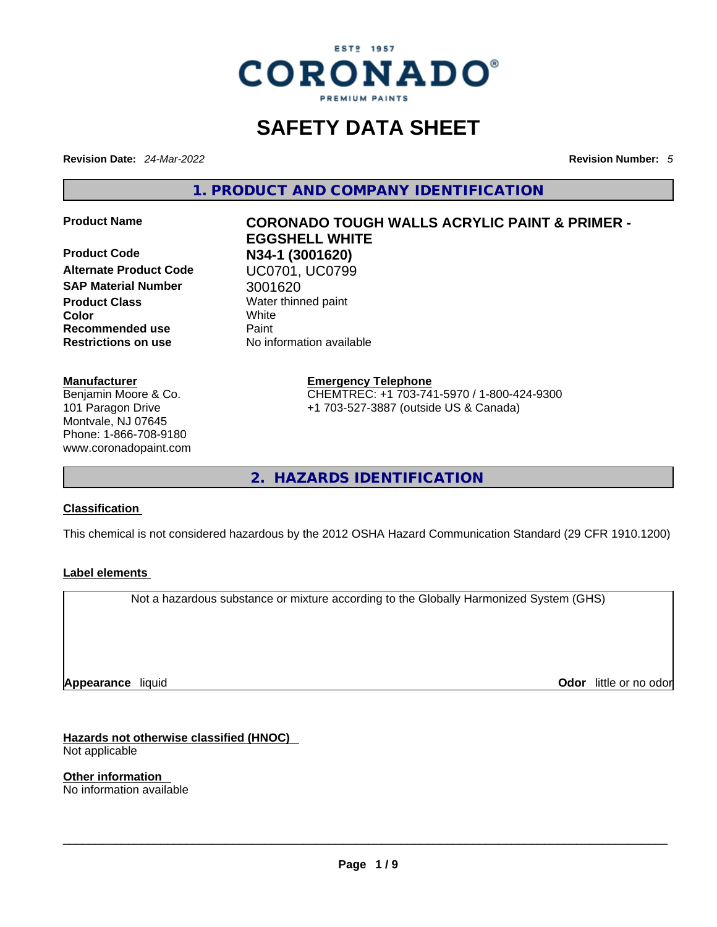

### **SAFETY DATA SHEET**

**Revision Date:** *24-Mar-2022* **Revision Number:** *5*

**1. PRODUCT AND COMPANY IDENTIFICATION** 

**Product Code N34-1 (3001620) SAP Material Number** 3001620 **Product Class Water thinned paint Color** White **Recommended use** Paint **Restrictions on use** No information available

#### **Manufacturer**

Benjamin Moore & Co. 101 Paragon Drive Montvale, NJ 07645 Phone: 1-866-708-9180 www.coronadopaint.com

# **Product Name CORONADO TOUGH WALLS ACRYLIC PAINT & PRIMER - EGGSHELL WHITE Alternate Product Code** UC0701, UC0799

**Emergency Telephone** CHEMTREC: +1 703-741-5970 / 1-800-424-9300 +1 703-527-3887 (outside US & Canada)

**2. HAZARDS IDENTIFICATION** 

#### **Classification**

This chemical is not considered hazardous by the 2012 OSHA Hazard Communication Standard (29 CFR 1910.1200)

#### **Label elements**

Not a hazardous substance or mixture according to the Globally Harmonized System (GHS)

**Appearance** liquid

**Odor** little or no odor

**Hazards not otherwise classified (HNOC)**  Not applicable

**Other information**  No information available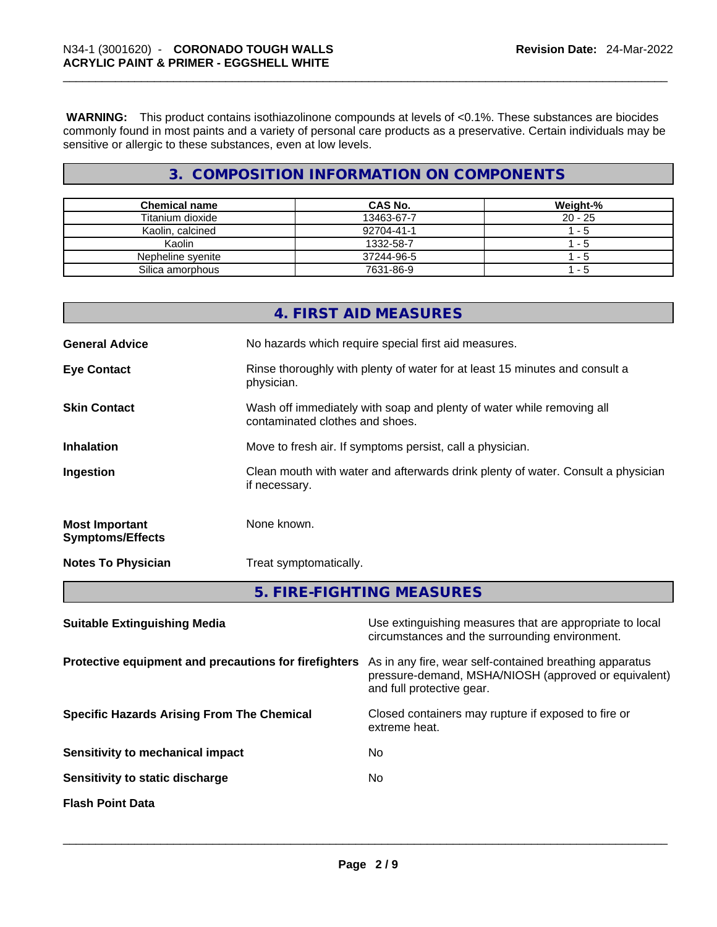**WARNING:** This product contains isothiazolinone compounds at levels of <0.1%. These substances are biocides commonly found in most paints and a variety of personal care products as a preservative. Certain individuals may be sensitive or allergic to these substances, even at low levels.

#### **3. COMPOSITION INFORMATION ON COMPONENTS**

| <b>Chemical name</b> | CAS No.    | Weight-%  |
|----------------------|------------|-----------|
| Titanium dioxide     | 13463-67-7 | $20 - 25$ |
| Kaolin, calcined     | 92704-41-1 | - 5       |
| Kaolin               | 1332-58-7  | $1 - 5$   |
| Nepheline syenite    | 37244-96-5 | - 5       |
| Silica amorphous     | 7631-86-9  | - 5       |

|                                                  | 4. FIRST AID MEASURES                                                                                    |
|--------------------------------------------------|----------------------------------------------------------------------------------------------------------|
| <b>General Advice</b>                            | No hazards which require special first aid measures.                                                     |
| <b>Eye Contact</b>                               | Rinse thoroughly with plenty of water for at least 15 minutes and consult a<br>physician.                |
| <b>Skin Contact</b>                              | Wash off immediately with soap and plenty of water while removing all<br>contaminated clothes and shoes. |
| <b>Inhalation</b>                                | Move to fresh air. If symptoms persist, call a physician.                                                |
| Ingestion                                        | Clean mouth with water and afterwards drink plenty of water. Consult a physician<br>if necessary.        |
| <b>Most Important</b><br><b>Symptoms/Effects</b> | None known.                                                                                              |
| <b>Notes To Physician</b>                        | Treat symptomatically.                                                                                   |
|                                                  | 5. FIRE-FIGHTING MEASURES                                                                                |

| <b>Suitable Extinguishing Media</b>                   | Use extinguishing measures that are appropriate to local<br>circumstances and the surrounding environment.                                   |
|-------------------------------------------------------|----------------------------------------------------------------------------------------------------------------------------------------------|
| Protective equipment and precautions for firefighters | As in any fire, wear self-contained breathing apparatus<br>pressure-demand, MSHA/NIOSH (approved or equivalent)<br>and full protective gear. |
| <b>Specific Hazards Arising From The Chemical</b>     | Closed containers may rupture if exposed to fire or<br>extreme heat.                                                                         |
| Sensitivity to mechanical impact                      | No.                                                                                                                                          |
| Sensitivity to static discharge                       | No.                                                                                                                                          |
| <b>Flash Point Data</b>                               |                                                                                                                                              |
|                                                       |                                                                                                                                              |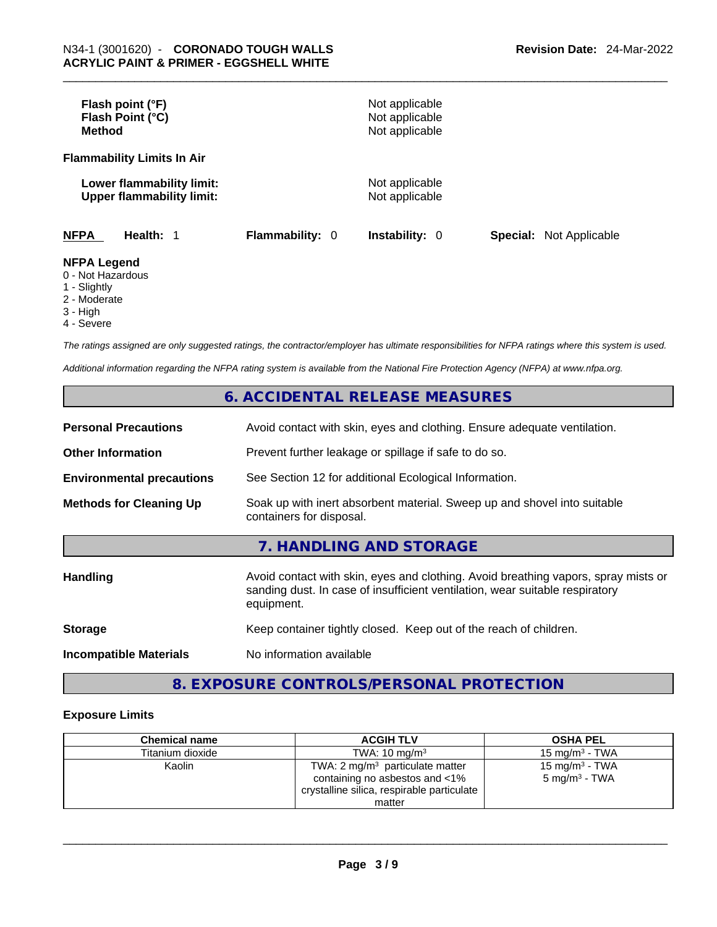| Flash point (°F)<br>Flash Point (°C)<br><b>Method</b>           |                        | Not applicable<br>Not applicable<br>Not applicable |                                |
|-----------------------------------------------------------------|------------------------|----------------------------------------------------|--------------------------------|
| <b>Flammability Limits In Air</b>                               |                        |                                                    |                                |
| Lower flammability limit:<br><b>Upper flammability limit:</b>   |                        | Not applicable<br>Not applicable                   |                                |
| <b>NFPA</b><br>Health: 1                                        | <b>Flammability: 0</b> | <b>Instability: 0</b>                              | <b>Special:</b> Not Applicable |
| <b>NFPA Legend</b><br>0 - Not Hazardous<br>$\lambda$ Clientable |                        |                                                    |                                |

- 1 Slightly
- 2 Moderate
- 3 High 4 - Severe

*The ratings assigned are only suggested ratings, the contractor/employer has ultimate responsibilities for NFPA ratings where this system is used.* 

*Additional information regarding the NFPA rating system is available from the National Fire Protection Agency (NFPA) at www.nfpa.org.* 

#### **6. ACCIDENTAL RELEASE MEASURES**

| <b>Personal Precautions</b>      | Avoid contact with skin, eyes and clothing. Ensure adequate ventilation.                                                                                                         |
|----------------------------------|----------------------------------------------------------------------------------------------------------------------------------------------------------------------------------|
| <b>Other Information</b>         | Prevent further leakage or spillage if safe to do so.                                                                                                                            |
| <b>Environmental precautions</b> | See Section 12 for additional Ecological Information.                                                                                                                            |
| <b>Methods for Cleaning Up</b>   | Soak up with inert absorbent material. Sweep up and shovel into suitable<br>containers for disposal.                                                                             |
|                                  | 7. HANDLING AND STORAGE                                                                                                                                                          |
| <b>Handling</b>                  | Avoid contact with skin, eyes and clothing. Avoid breathing vapors, spray mists or<br>sanding dust. In case of insufficient ventilation, wear suitable respiratory<br>equipment. |
| <b>Storage</b>                   | Keep container tightly closed. Keep out of the reach of children.                                                                                                                |
| <b>Incompatible Materials</b>    | No information available                                                                                                                                                         |

#### **8. EXPOSURE CONTROLS/PERSONAL PROTECTION**

#### **Exposure Limits**

| <b>Chemical name</b> | <b>ACGIH TLV</b>                                                                                                                     | <b>OSHA PEL</b>                                        |
|----------------------|--------------------------------------------------------------------------------------------------------------------------------------|--------------------------------------------------------|
| Titanium dioxide     | TWA: $10 \text{ ma/m}^3$                                                                                                             | 15 mg/m $3$ - TWA                                      |
| Kaolin               | TWA: $2 \text{ mg/m}^3$ particulate matter<br>containing no asbestos and <1%<br>crystalline silica, respirable particulate<br>matter | 15 mg/m <sup>3</sup> - TWA<br>$5 \text{ mg/m}^3$ - TWA |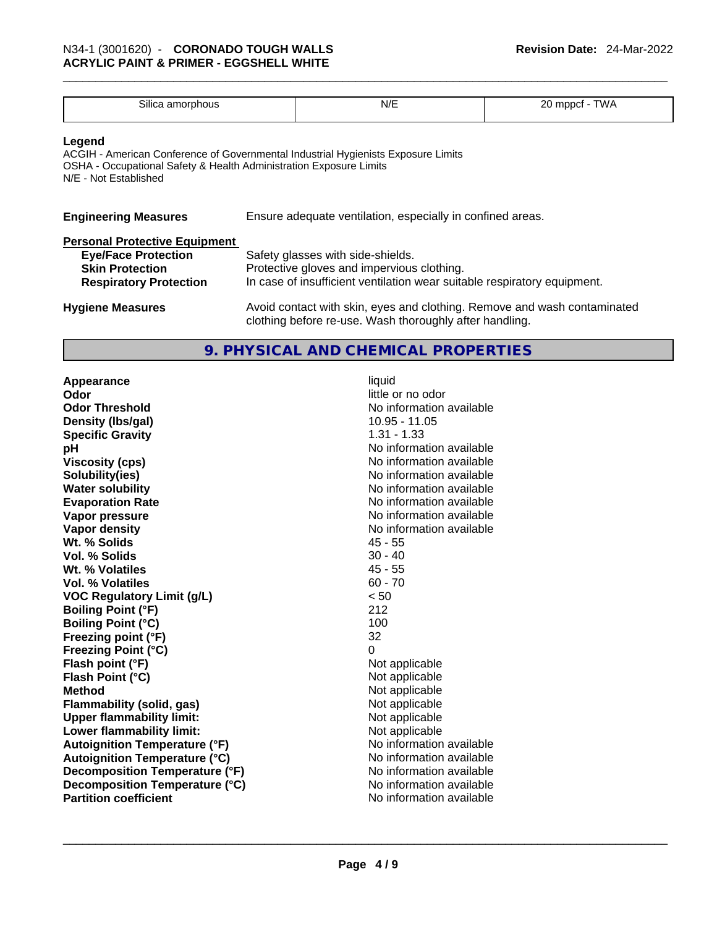| $\sim \cdots$<br>Silica<br>nnoi<br>1 C D I<br>dl | N/L | ^^<br>- ۱۸۱۰<br>м |
|--------------------------------------------------|-----|-------------------|
| .                                                |     | ້<br>$\sim$       |
|                                                  |     |                   |

#### **Legend**

ACGIH - American Conference of Governmental Industrial Hygienists Exposure Limits OSHA - Occupational Safety & Health Administration Exposure Limits N/E - Not Established

| <b>Engineering Measures</b> | Ensure adequate ventilation, especially in confined areas. |  |
|-----------------------------|------------------------------------------------------------|--|
|                             |                                                            |  |

#### **Personal Protective Equipment**

| <b>Eye/Face Protection</b><br><b>Skin Protection</b> | Safety glasses with side-shields.<br>Protective gloves and impervious clothing. |  |
|------------------------------------------------------|---------------------------------------------------------------------------------|--|
| <b>Respiratory Protection</b>                        | In case of insufficient ventilation wear suitable respiratory equipment.        |  |
| <b>Hygiene Measures</b>                              | Avoid contact with skin, eyes and clothing. Remove and wash contaminated        |  |

#### **9. PHYSICAL AND CHEMICAL PROPERTIES**

clothing before re-use. Wash thoroughly after handling.

**Appearance** liquid **Odor** little or no odor **Odor Threshold**<br> **Density (Ibs/gal)**<br> **Density (Ibs/gal)**<br> **No information available**<br>
10.95 - 11.05 **Density (Ibs/gal)** 10.95 - 11.05 - 12.05 - 12.05 - 12.05 - 12.05 - 12.05 - 12.05 - 12.05 - 12.05 - 12.05 - 12.05 - 12.05 - 12.05 - 12.05 - 12.05 - 12.05 - 12.05 - 12.05 - 12.05 - 12.05 - 12.05 - 12.05 - 12.05 - 12.05 - 12 **Specific Gravity pH bH** *No* information available **Viscosity (cps) Viscosity (cps) No information available Solubility(ies)** No information available **Water solubility Water solubility No information available Evaporation Rate No information available No information available Vapor pressure No information available No information available Vapor density**<br> **We Solids**<br>
We Solids
2018 **Wt. % Solids** 45 - 55 **Vol. % Solids Wt. % Volatiles** 45 - 55 **Vol. % Volatiles VOC Regulatory Limit (g/L)** < 50 **Boiling Point (°F)** 212 **Boiling Point (°C) Freezing point (°F)** 32 **Freezing Point (°C)**<br> **Flash point (°F)**<br> **Flash point (°F)**<br> **Point (°F)**<br> **Point (°F)**<br> **Point (°F)**<br> **Point (°F)**<br> **Point (°F) Flash point (°F) Flash Point (°C)** Not applicable **Method**<br> **Rethod**<br> **Rethod**<br> **Not applicable**<br> **Not applicable Flammability** (solid, gas) **Upper flammability limit:** Not applicable **Lower flammability limit:**<br> **Autoignition Temperature (°F)** Not applicable havailable **Autoignition Temperature (°F) Autoignition Temperature (°C)** No information available **Decomposition Temperature (°F)** No information available<br> **Decomposition Temperature (°C)** No information available **Decomposition Temperature (°C)**<br> **Partition coefficient**<br> **Partition coefficient**<br> **No** information available **Partition coefficient**No information available \_\_\_\_\_\_\_\_\_\_\_\_\_\_\_\_\_\_\_\_\_\_\_\_\_\_\_\_\_\_\_\_\_\_\_\_\_\_\_\_\_\_\_\_\_\_\_\_\_\_\_\_\_\_\_\_\_\_\_\_\_\_\_\_\_\_\_\_\_\_\_\_\_\_\_\_\_\_\_\_\_\_\_\_\_\_\_\_\_\_\_\_\_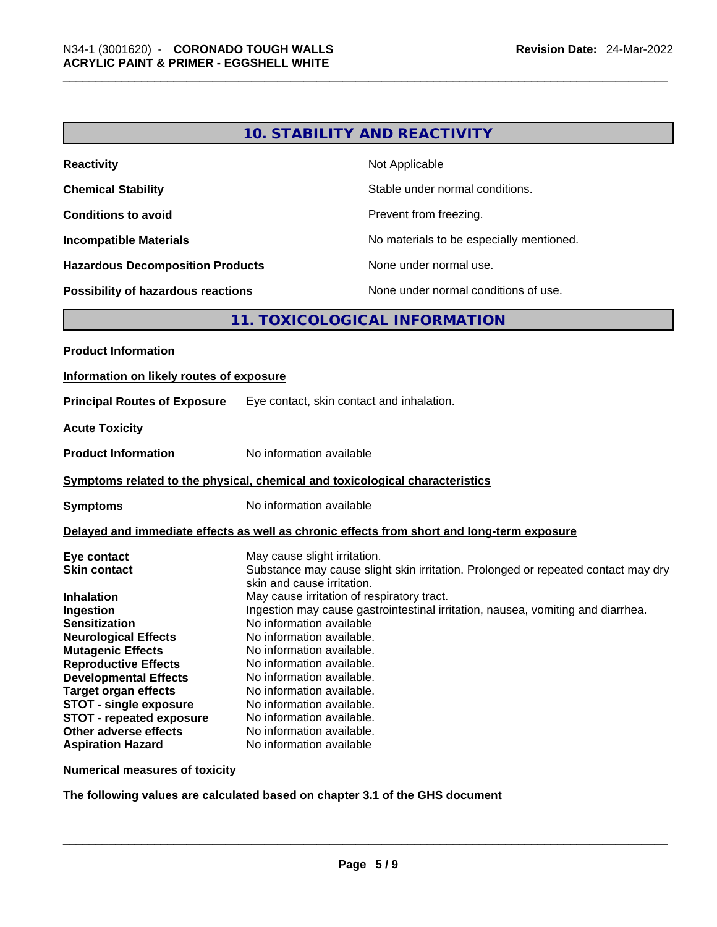| <b>Reactivity</b>                         | Not Applicable                           |
|-------------------------------------------|------------------------------------------|
| <b>Chemical Stability</b>                 | Stable under normal conditions.          |
| <b>Conditions to avoid</b>                | Prevent from freezing.                   |
| <b>Incompatible Materials</b>             | No materials to be especially mentioned. |
| <b>Hazardous Decomposition Products</b>   | None under normal use.                   |
| <b>Possibility of hazardous reactions</b> | None under normal conditions of use.     |

#### **11. TOXICOLOGICAL INFORMATION**

| <b>Product Information</b>                                                                                                                                                                                                                                                                                                                                                            |                                                                                                                                                                                                                                                                                                                                                                                                                                                                                                                                                                                  |  |  |
|---------------------------------------------------------------------------------------------------------------------------------------------------------------------------------------------------------------------------------------------------------------------------------------------------------------------------------------------------------------------------------------|----------------------------------------------------------------------------------------------------------------------------------------------------------------------------------------------------------------------------------------------------------------------------------------------------------------------------------------------------------------------------------------------------------------------------------------------------------------------------------------------------------------------------------------------------------------------------------|--|--|
| Information on likely routes of exposure                                                                                                                                                                                                                                                                                                                                              |                                                                                                                                                                                                                                                                                                                                                                                                                                                                                                                                                                                  |  |  |
| <b>Principal Routes of Exposure</b>                                                                                                                                                                                                                                                                                                                                                   | Eye contact, skin contact and inhalation.                                                                                                                                                                                                                                                                                                                                                                                                                                                                                                                                        |  |  |
| <b>Acute Toxicity</b>                                                                                                                                                                                                                                                                                                                                                                 |                                                                                                                                                                                                                                                                                                                                                                                                                                                                                                                                                                                  |  |  |
| <b>Product Information</b>                                                                                                                                                                                                                                                                                                                                                            | No information available                                                                                                                                                                                                                                                                                                                                                                                                                                                                                                                                                         |  |  |
| Symptoms related to the physical, chemical and toxicological characteristics                                                                                                                                                                                                                                                                                                          |                                                                                                                                                                                                                                                                                                                                                                                                                                                                                                                                                                                  |  |  |
| <b>Symptoms</b>                                                                                                                                                                                                                                                                                                                                                                       | No information available                                                                                                                                                                                                                                                                                                                                                                                                                                                                                                                                                         |  |  |
|                                                                                                                                                                                                                                                                                                                                                                                       | Delayed and immediate effects as well as chronic effects from short and long-term exposure                                                                                                                                                                                                                                                                                                                                                                                                                                                                                       |  |  |
| Eye contact<br><b>Skin contact</b><br><b>Inhalation</b><br>Ingestion<br><b>Sensitization</b><br><b>Neurological Effects</b><br><b>Mutagenic Effects</b><br><b>Reproductive Effects</b><br><b>Developmental Effects</b><br><b>Target organ effects</b><br><b>STOT - single exposure</b><br><b>STOT - repeated exposure</b><br><b>Other adverse effects</b><br><b>Aspiration Hazard</b> | May cause slight irritation.<br>Substance may cause slight skin irritation. Prolonged or repeated contact may dry<br>skin and cause irritation.<br>May cause irritation of respiratory tract.<br>Ingestion may cause gastrointestinal irritation, nausea, vomiting and diarrhea.<br>No information available<br>No information available.<br>No information available.<br>No information available.<br>No information available.<br>No information available.<br>No information available.<br>No information available.<br>No information available.<br>No information available |  |  |

**Numerical measures of toxicity**

**The following values are calculated based on chapter 3.1 of the GHS document**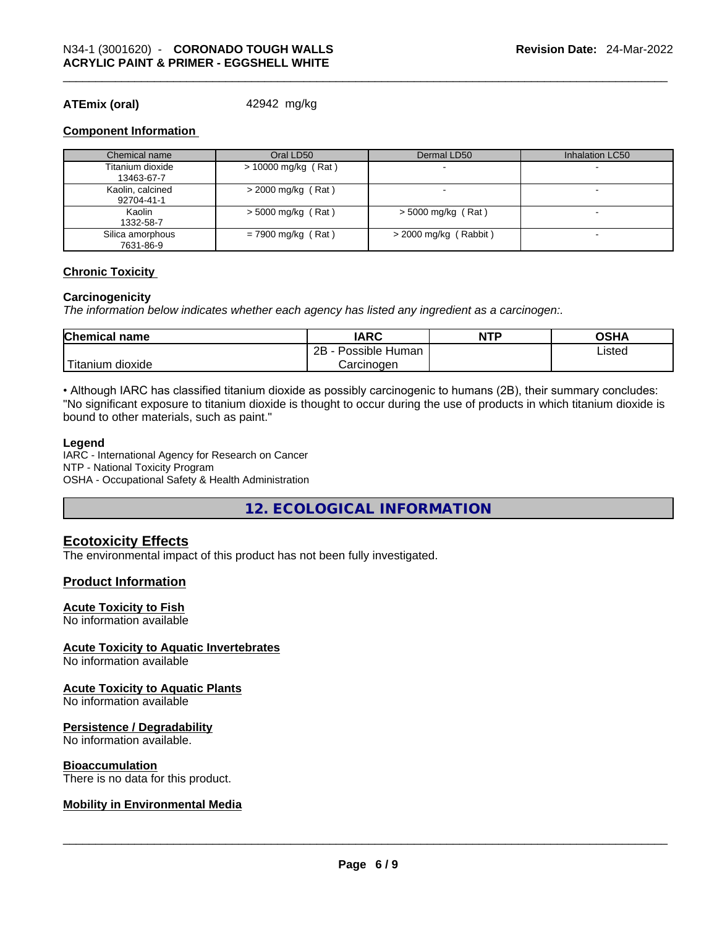#### **ATEmix (oral)** 42942 mg/kg

#### **Component Information**

| Chemical name                  | Oral LD50            | Dermal LD50             | Inhalation LC50          |
|--------------------------------|----------------------|-------------------------|--------------------------|
| Titanium dioxide<br>13463-67-7 | > 10000 mg/kg (Rat)  |                         |                          |
| Kaolin, calcined<br>92704-41-1 | $>$ 2000 mg/kg (Rat) |                         | $\overline{\phantom{0}}$ |
| Kaolin<br>1332-58-7            | $> 5000$ mg/kg (Rat) | $>$ 5000 mg/kg (Rat)    | $\overline{\phantom{0}}$ |
| Silica amorphous<br>7631-86-9  | $= 7900$ mg/kg (Rat) | $>$ 2000 mg/kg (Rabbit) |                          |

#### **Chronic Toxicity**

#### **Carcinogenicity**

*The information below indicates whether each agency has listed any ingredient as a carcinogen:.* 

| <b>Chemical name</b>    | <b>IARC</b>          | <b>NTP</b> | OSHA   |
|-------------------------|----------------------|------------|--------|
|                         | 2B<br>Possible Human |            | Listed |
| ` Titanium 、<br>dioxide | Carcinogen           |            |        |

• Although IARC has classified titanium dioxide as possibly carcinogenic to humans (2B), their summary concludes: "No significant exposure to titanium dioxide is thought to occur during the use of products in which titanium dioxide is bound to other materials, such as paint."

#### **Legend**

IARC - International Agency for Research on Cancer NTP - National Toxicity Program OSHA - Occupational Safety & Health Administration

**12. ECOLOGICAL INFORMATION** 

#### **Ecotoxicity Effects**

The environmental impact of this product has not been fully investigated.

#### **Product Information**

#### **Acute Toxicity to Fish**

No information available

#### **Acute Toxicity to Aquatic Invertebrates**

No information available

#### **Acute Toxicity to Aquatic Plants**

No information available

#### **Persistence / Degradability**

No information available.

#### **Bioaccumulation**

## There is no data for this product. \_\_\_\_\_\_\_\_\_\_\_\_\_\_\_\_\_\_\_\_\_\_\_\_\_\_\_\_\_\_\_\_\_\_\_\_\_\_\_\_\_\_\_\_\_\_\_\_\_\_\_\_\_\_\_\_\_\_\_\_\_\_\_\_\_\_\_\_\_\_\_\_\_\_\_\_\_\_\_\_\_\_\_\_\_\_\_\_\_\_\_\_\_ **Mobility in Environmental Media**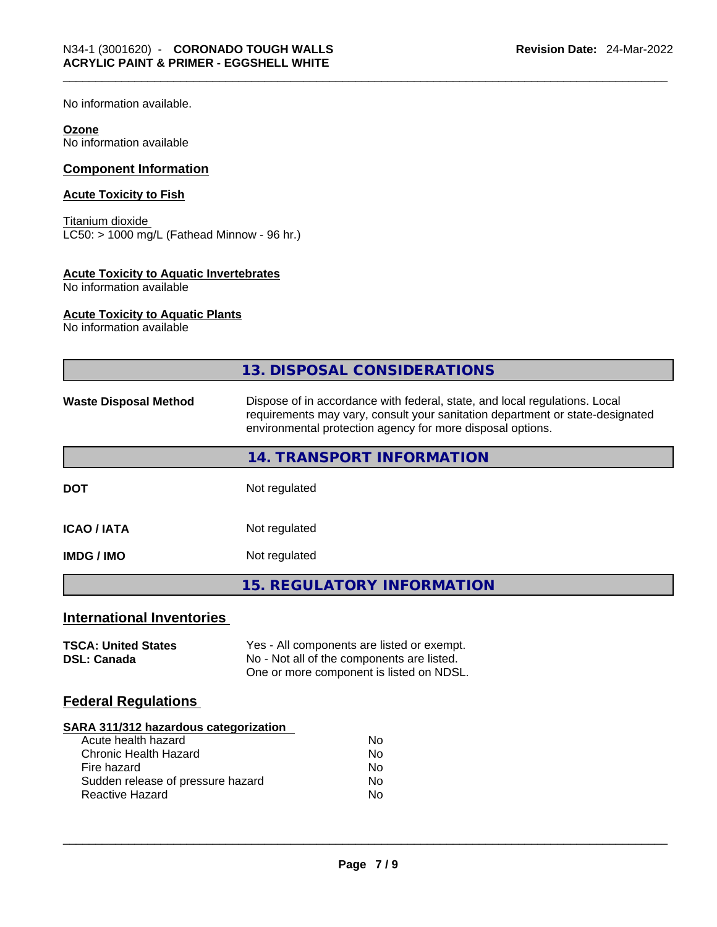No information available.

#### **Ozone**

No information available

#### **Component Information**

#### **Acute Toxicity to Fish**

Titanium dioxide LC50: > 1000 mg/L (Fathead Minnow - 96 hr.)

#### **Acute Toxicity to Aquatic Invertebrates**

No information available

#### **Acute Toxicity to Aquatic Plants**

No information available

|                                                  | 13. DISPOSAL CONSIDERATIONS                                                                                                                                                                                               |  |
|--------------------------------------------------|---------------------------------------------------------------------------------------------------------------------------------------------------------------------------------------------------------------------------|--|
| <b>Waste Disposal Method</b>                     | Dispose of in accordance with federal, state, and local regulations. Local<br>requirements may vary, consult your sanitation department or state-designated<br>environmental protection agency for more disposal options. |  |
|                                                  | 14. TRANSPORT INFORMATION                                                                                                                                                                                                 |  |
| <b>DOT</b>                                       | Not regulated                                                                                                                                                                                                             |  |
| <b>ICAO/IATA</b>                                 | Not regulated                                                                                                                                                                                                             |  |
| <b>IMDG / IMO</b>                                | Not regulated                                                                                                                                                                                                             |  |
|                                                  | <b>15. REGULATORY INFORMATION</b>                                                                                                                                                                                         |  |
| <b>International Inventories</b>                 |                                                                                                                                                                                                                           |  |
| <b>TSCA: United States</b><br><b>DSL: Canada</b> | Yes - All components are listed or exempt.<br>No - Not all of the components are listed.<br>One or more component is listed on NDSL.                                                                                      |  |
| <b>Federal Regulations</b>                       |                                                                                                                                                                                                                           |  |

#### **SARA 311/312 hazardous categorization**

| Acute health hazard               | Nο |
|-----------------------------------|----|
| Chronic Health Hazard             | Nο |
| Fire hazard                       | N٥ |
| Sudden release of pressure hazard | Nο |
| Reactive Hazard                   | N٥ |
|                                   |    |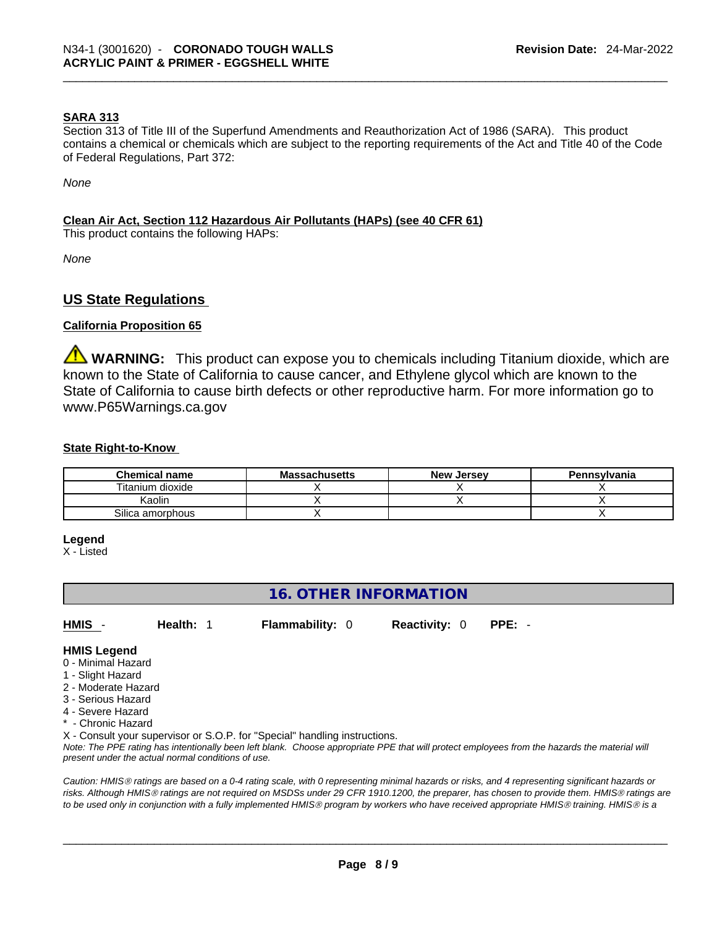#### **SARA 313**

Section 313 of Title III of the Superfund Amendments and Reauthorization Act of 1986 (SARA). This product contains a chemical or chemicals which are subject to the reporting requirements of the Act and Title 40 of the Code of Federal Regulations, Part 372:

*None*

#### **Clean Air Act,Section 112 Hazardous Air Pollutants (HAPs) (see 40 CFR 61)**

This product contains the following HAPs:

*None*

#### **US State Regulations**

#### **California Proposition 65**

**WARNING:** This product can expose you to chemicals including Titanium dioxide, which are known to the State of California to cause cancer, and Ethylene glycol which are known to the State of California to cause birth defects or other reproductive harm. For more information go to www.P65Warnings.ca.gov

#### **State Right-to-Know**

| <b>Chemical name</b> | <b>Massachusetts</b> | <b>New Jersey</b> | Pennsylvania |
|----------------------|----------------------|-------------------|--------------|
| Titanium dioxide     |                      |                   |              |
| Kaolin               |                      |                   |              |
| Silica amorphous     |                      |                   |              |

#### **Legend**

X - Listed

#### **16. OTHER INFORMATION**

**HMIS** - **Health:** 1 **Flammability:** 0 **Reactivity:** 0 **PPE:** -

#### **HMIS Legend**

- 0 Minimal Hazard
- 1 Slight Hazard
- 2 Moderate Hazard
- 3 Serious Hazard
- 4 Severe Hazard
- Chronic Hazard

X - Consult your supervisor or S.O.P. for "Special" handling instructions.

Note: The PPE rating has intentionally been left blank. Choose appropriate PPE that will protect employees from the hazards the material will *present under the actual normal conditions of use.* 

*Caution: HMISÒ ratings are based on a 0-4 rating scale, with 0 representing minimal hazards or risks, and 4 representing significant hazards or risks. Although HMISÒ ratings are not required on MSDSs under 29 CFR 1910.1200, the preparer, has chosen to provide them. HMISÒ ratings are to be used only in conjunction with a fully implemented HMISÒ program by workers who have received appropriate HMISÒ training. HMISÒ is a*